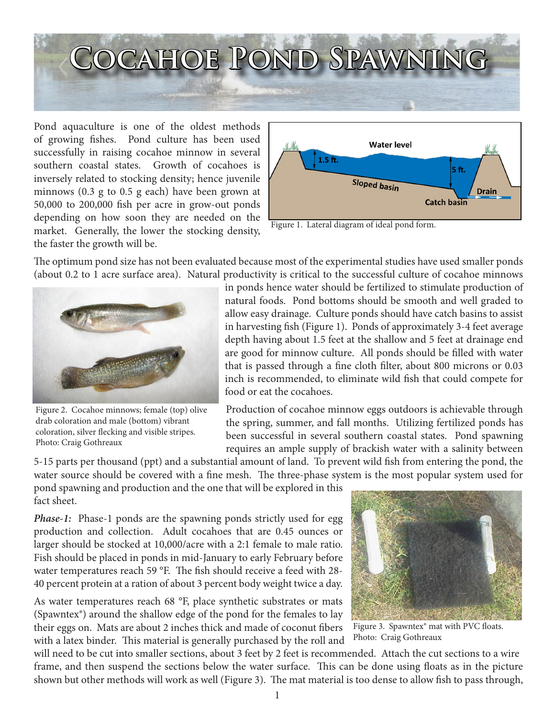

Pond aquaculture is one of the oldest methods of growing fishes. Pond culture has been used successfully in raising cocahoe minnow in several southern coastal states. Growth of cocahoes is inversely related to stocking density; hence juvenile minnows (0.3 g to 0.5 g each) have been grown at 50,000 to 200,000 fish per acre in grow-out ponds depending on how soon they are needed on the market. Generally, the lower the stocking density, the faster the growth will be.



Figure 1. Lateral diagram of ideal pond form.

The optimum pond size has not been evaluated because most of the experimental studies have used smaller ponds (about 0.2 to 1 acre surface area). Natural productivity is critical to the successful culture of cocahoe minnows



Figure 2. Cocahoe minnows; female (top) olive drab coloration and male (bottom) vibrant coloration, silver flecking and visible stripes. Photo: Craig Gothreaux

in ponds hence water should be fertilized to stimulate production of natural foods. Pond bottoms should be smooth and well graded to allow easy drainage. Culture ponds should have catch basins to assist in harvesting fish (Figure 1). Ponds of approximately 3-4 feet average depth having about 1.5 feet at the shallow and 5 feet at drainage end are good for minnow culture. All ponds should be filled with water that is passed through a fine cloth filter, about 800 microns or 0.03 inch is recommended, to eliminate wild fish that could compete for food or eat the cocahoes.

Production of cocahoe minnow eggs outdoors is achievable through the spring, summer, and fall months. Utilizing fertilized ponds has been successful in several southern coastal states. Pond spawning requires an ample supply of brackish water with a salinity between

5-15 parts per thousand (ppt) and a substantial amount of land. To prevent wild fish from entering the pond, the water source should be covered with a fine mesh. The three-phase system is the most popular system used for pond spawning and production and the one that will be explored in this fact sheet.

*Phase-1:* Phase-1 ponds are the spawning ponds strictly used for egg production and collection. Adult cocahoes that are 0.45 ounces or larger should be stocked at 10,000/acre with a 2:1 female to male ratio. Fish should be placed in ponds in mid-January to early February before water temperatures reach 59 °F. The fish should receive a feed with 28- 40 percent protein at a ration of about 3 percent body weight twice a day.

As water temperatures reach 68 °F, place synthetic substrates or mats (Spawntex®) around the shallow edge of the pond for the females to lay their eggs on. Mats are about 2 inches thick and made of coconut fibers with a latex binder. This material is generally purchased by the roll and



Figure 3. Spawntex® mat with PVC floats. Photo: Craig Gothreaux

will need to be cut into smaller sections, about 3 feet by 2 feet is recommended. Attach the cut sections to a wire frame, and then suspend the sections below the water surface. This can be done using floats as in the picture shown but other methods will work as well (Figure 3). The mat material is too dense to allow fish to pass through,